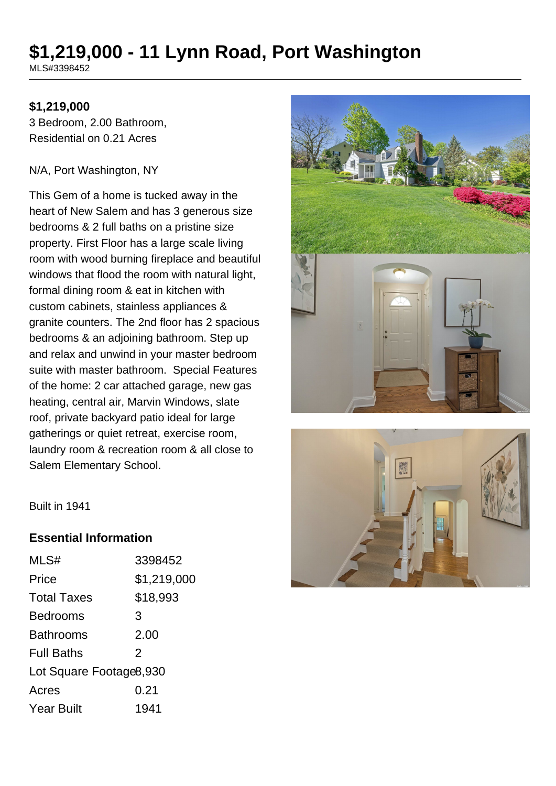# **\$1,219,000 - 11 Lynn Road, Port Washington**

MLS#3398452

#### **\$1,219,000**

3 Bedroom, 2.00 Bathroom, Residential on 0.21 Acres

#### N/A, Port Washington, NY

This Gem of a home is tucked away in the heart of New Salem and has 3 generous size bedrooms & 2 full baths on a pristine size property. First Floor has a large scale living room with wood burning fireplace and beautiful windows that flood the room with natural light, formal dining room & eat in kitchen with custom cabinets, stainless appliances & granite counters. The 2nd floor has 2 spacious bedrooms & an adjoining bathroom. Step up and relax and unwind in your master bedroom suite with master bathroom. Special Features of the home: 2 car attached garage, new gas heating, central air, Marvin Windows, slate roof, private backyard patio ideal for large gatherings or quiet retreat, exercise room, laundry room & recreation room & all close to Salem Elementary School.





Built in 1941

#### **Essential Information**

| MLS#                    | 3398452        |
|-------------------------|----------------|
| Price                   | \$1,219,000    |
| <b>Total Taxes</b>      | \$18,993       |
| <b>Bedrooms</b>         | 3              |
| Bathrooms               | 2.00           |
| <b>Full Baths</b>       | $\overline{2}$ |
| Lot Square Footage8,930 |                |
| Acres                   | 0.21           |
| <b>Year Built</b>       | 1941           |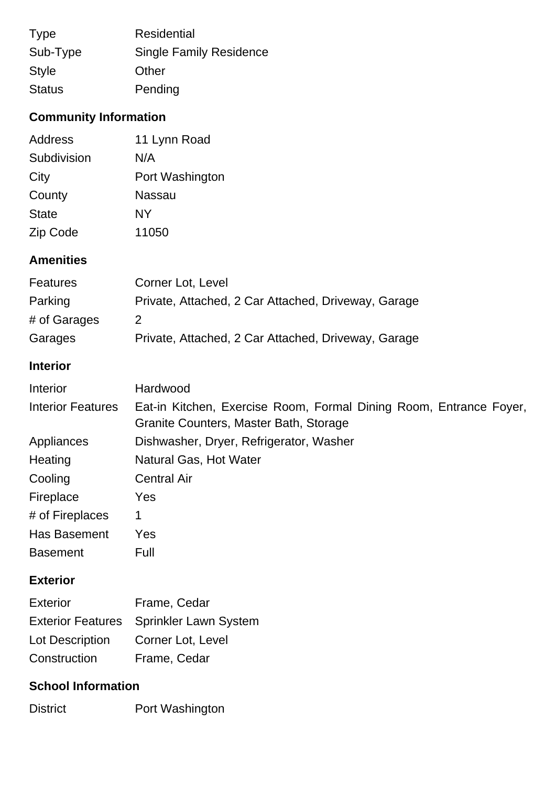| <b>Type</b>   | <b>Residential</b>             |
|---------------|--------------------------------|
| Sub-Type      | <b>Single Family Residence</b> |
| <b>Style</b>  | Other                          |
| <b>Status</b> | Pending                        |

## **Community Information**

| <b>Address</b> | 11 Lynn Road    |
|----------------|-----------------|
| Subdivision    | N/A             |
| City           | Port Washington |
| County         | <b>Nassau</b>   |
| <b>State</b>   | <b>NY</b>       |
| Zip Code       | 11050           |
|                |                 |

## **Amenities**

| <b>Features</b> | Corner Lot, Level                                   |
|-----------------|-----------------------------------------------------|
| Parking         | Private, Attached, 2 Car Attached, Driveway, Garage |
| # of Garages    |                                                     |
| Garages         | Private, Attached, 2 Car Attached, Driveway, Garage |

## **Interior**

| Interior                 | Hardwood                                                                                                     |
|--------------------------|--------------------------------------------------------------------------------------------------------------|
| <b>Interior Features</b> | Eat-in Kitchen, Exercise Room, Formal Dining Room, Entrance Foyer,<br>Granite Counters, Master Bath, Storage |
| Appliances               | Dishwasher, Dryer, Refrigerator, Washer                                                                      |
| Heating                  | Natural Gas, Hot Water                                                                                       |
| Cooling                  | <b>Central Air</b>                                                                                           |
| Fireplace                | Yes                                                                                                          |
| # of Fireplaces          | 1                                                                                                            |
| Has Basement             | Yes                                                                                                          |
| <b>Basement</b>          | Full                                                                                                         |

## **Exterior**

| <b>Exterior</b> | Frame, Cedar                            |
|-----------------|-----------------------------------------|
|                 | Exterior Features Sprinkler Lawn System |
| Lot Description | Corner Lot, Level                       |
| Construction    | Frame, Cedar                            |

## **School Information**